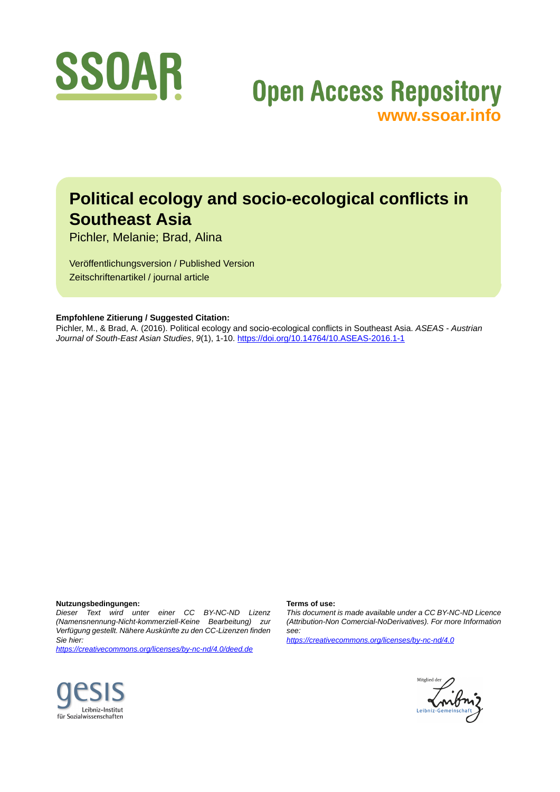

# **Open Access Repository [www.ssoar.info](http://www.ssoar.info)**

## **Political ecology and socio-ecological conflicts in Southeast Asia**

Pichler, Melanie; Brad, Alina

Veröffentlichungsversion / Published Version Zeitschriftenartikel / journal article

## **Empfohlene Zitierung / Suggested Citation:**

Pichler, M., & Brad, A. (2016). Political ecology and socio-ecological conflicts in Southeast Asia. *ASEAS - Austrian Journal of South-East Asian Studies*, *9*(1), 1-10.<https://doi.org/10.14764/10.ASEAS-2016.1-1>

## **Nutzungsbedingungen:**

*Dieser Text wird unter einer CC BY-NC-ND Lizenz (Namensnennung-Nicht-kommerziell-Keine Bearbeitung) zur Verfügung gestellt. Nähere Auskünfte zu den CC-Lizenzen finden Sie hier:*

*<https://creativecommons.org/licenses/by-nc-nd/4.0/deed.de>*

#### **Terms of use:**

*This document is made available under a CC BY-NC-ND Licence (Attribution-Non Comercial-NoDerivatives). For more Information see:*

*<https://creativecommons.org/licenses/by-nc-nd/4.0>*



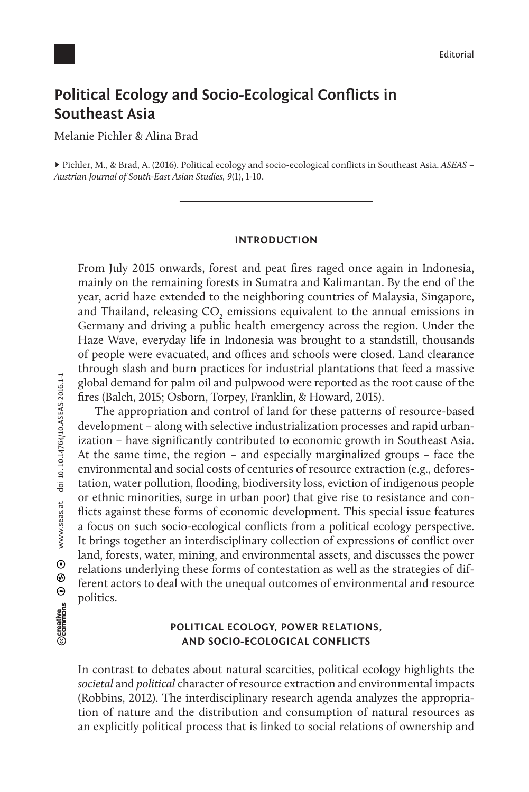## **Political Ecology and Socio-Ecological Conflicts in Southeast Asia**

Melanie Pichler & Alina Brad

► Pichler, M., & Brad, A. (2016). Political ecology and socio-ecological conflicts in Southeast Asia. *ASEAS – Austrian Journal of South-East Asian Studies, 9*(1), 1-10.

## **INTRODUCTION**

From July 2015 onwards, forest and peat fires raged once again in Indonesia, mainly on the remaining forests in Sumatra and Kalimantan. By the end of the year, acrid haze extended to the neighboring countries of Malaysia, Singapore, and Thailand, releasing  $\mathrm{CO}_2$  emissions equivalent to the annual emissions in Germany and driving a public health emergency across the region. Under the Haze Wave, everyday life in Indonesia was brought to a standstill, thousands of people were evacuated, and offices and schools were closed. Land clearance through slash and burn practices for industrial plantations that feed a massive global demand for palm oil and pulpwood were reported as the root cause of the fires (Balch, 2015; Osborn, Torpey, Franklin, & Howard, 2015).

The appropriation and control of land for these patterns of resource-based development – along with selective industrialization processes and rapid urbanization – have significantly contributed to economic growth in Southeast Asia. At the same time, the region – and especially marginalized groups – face the environmental and social costs of centuries of resource extraction (e.g., deforestation, water pollution, flooding, biodiversity loss, eviction of indigenous people or ethnic minorities, surge in urban poor) that give rise to resistance and conflicts against these forms of economic development. This special issue features a focus on such socio-ecological conflicts from a political ecology perspective. It brings together an interdisciplinary collection of expressions of conflict over land, forests, water, mining, and environmental assets, and discusses the power relations underlying these forms of contestation as well as the strategies of different actors to deal with the unequal outcomes of environmental and resource politics.

## **POLITICAL ECOLOGY, POWER RELATIONS, AND SOCIO-ECOLOGICAL CONFLICTS**

In contrast to debates about natural scarcities, political ecology highlights the *societal* and *political* character of resource extraction and environmental impacts (Robbins, 2012). The interdisciplinary research agenda analyzes the appropriation of nature and the distribution and consumption of natural resources as an explicitly political process that is linked to social relations of ownership and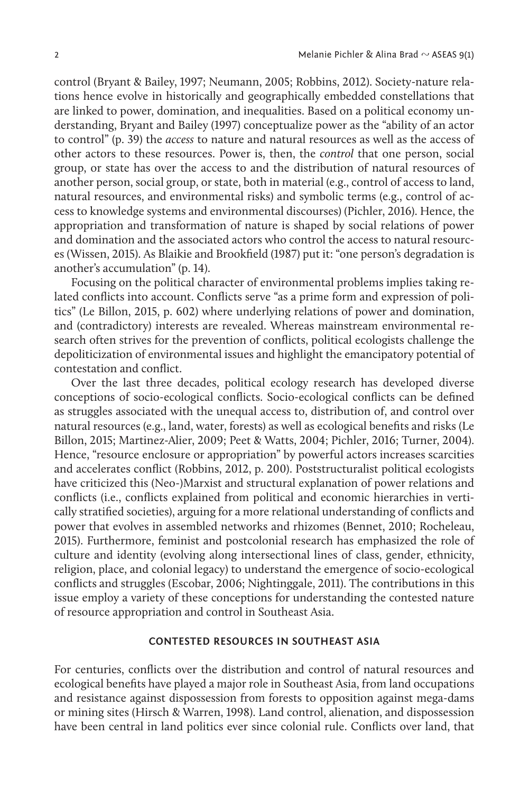control (Bryant & Bailey, 1997; Neumann, 2005; Robbins, 2012). Society-nature relations hence evolve in historically and geographically embedded constellations that are linked to power, domination, and inequalities. Based on a political economy understanding, Bryant and Bailey (1997) conceptualize power as the "ability of an actor to control" (p. 39) the *access* to nature and natural resources as well as the access of other actors to these resources. Power is, then, the *control* that one person, social group, or state has over the access to and the distribution of natural resources of another person, social group, or state, both in material (e.g., control of access to land, natural resources, and environmental risks) and symbolic terms (e.g., control of access to knowledge systems and environmental discourses) (Pichler, 2016). Hence, the appropriation and transformation of nature is shaped by social relations of power and domination and the associated actors who control the access to natural resources (Wissen, 2015). As Blaikie and Brookfield (1987) put it: "one person's degradation is another's accumulation" (p. 14).

Focusing on the political character of environmental problems implies taking related conflicts into account. Conflicts serve "as a prime form and expression of politics" (Le Billon, 2015, p. 602) where underlying relations of power and domination, and (contradictory) interests are revealed. Whereas mainstream environmental research often strives for the prevention of conflicts, political ecologists challenge the depoliticization of environmental issues and highlight the emancipatory potential of contestation and conflict.

Over the last three decades, political ecology research has developed diverse conceptions of socio-ecological conflicts. Socio-ecological conflicts can be defined as struggles associated with the unequal access to, distribution of, and control over natural resources (e.g., land, water, forests) as well as ecological benefits and risks (Le Billon, 2015; Martinez-Alier, 2009; Peet & Watts, 2004; Pichler, 2016; Turner, 2004). Hence, "resource enclosure or appropriation" by powerful actors increases scarcities and accelerates conflict (Robbins, 2012, p. 200). Poststructuralist political ecologists have criticized this (Neo-)Marxist and structural explanation of power relations and conflicts (i.e., conflicts explained from political and economic hierarchies in vertically stratified societies), arguing for a more relational understanding of conflicts and power that evolves in assembled networks and rhizomes (Bennet, 2010; Rocheleau, 2015). Furthermore, feminist and postcolonial research has emphasized the role of culture and identity (evolving along intersectional lines of class, gender, ethnicity, religion, place, and colonial legacy) to understand the emergence of socio-ecological conflicts and struggles (Escobar, 2006; Nightinggale, 2011). The contributions in this issue employ a variety of these conceptions for understanding the contested nature of resource appropriation and control in Southeast Asia.

## **CONTESTED RESOURCES IN SOUTHEAST ASIA**

For centuries, conflicts over the distribution and control of natural resources and ecological benefits have played a major role in Southeast Asia, from land occupations and resistance against dispossession from forests to opposition against mega-dams or mining sites (Hirsch & Warren, 1998). Land control, alienation, and dispossession have been central in land politics ever since colonial rule. Conflicts over land, that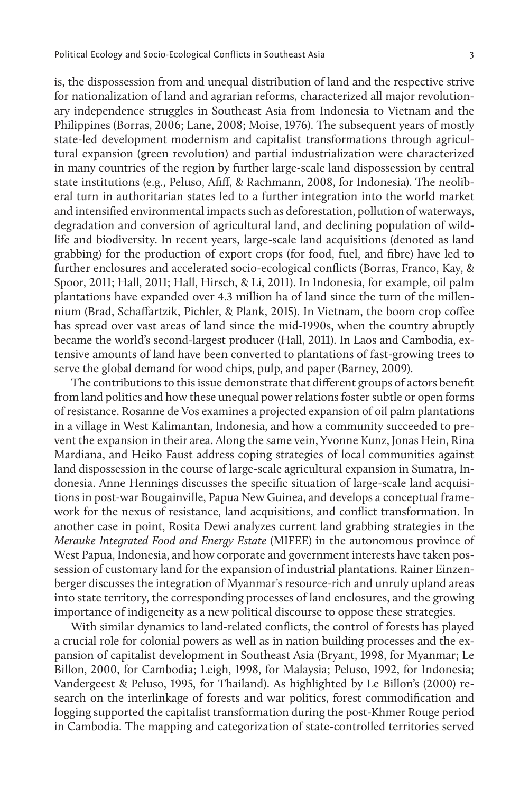is, the dispossession from and unequal distribution of land and the respective strive for nationalization of land and agrarian reforms, characterized all major revolutionary independence struggles in Southeast Asia from Indonesia to Vietnam and the

Philippines (Borras, 2006; Lane, 2008; Moise, 1976). The subsequent years of mostly state-led development modernism and capitalist transformations through agricultural expansion (green revolution) and partial industrialization were characterized in many countries of the region by further large-scale land dispossession by central state institutions (e.g., Peluso, Afiff, & Rachmann, 2008, for Indonesia). The neoliberal turn in authoritarian states led to a further integration into the world market and intensified environmental impacts such as deforestation, pollution of waterways, degradation and conversion of agricultural land, and declining population of wildlife and biodiversity. In recent years, large-scale land acquisitions (denoted as land grabbing) for the production of export crops (for food, fuel, and fibre) have led to further enclosures and accelerated socio-ecological conflicts (Borras, Franco, Kay, & Spoor, 2011; Hall, 2011; Hall, Hirsch, & Li, 2011). In Indonesia, for example, oil palm plantations have expanded over 4.3 million ha of land since the turn of the millennium (Brad, Schaffartzik, Pichler, & Plank, 2015). In Vietnam, the boom crop coffee has spread over vast areas of land since the mid-1990s, when the country abruptly became the world's second-largest producer (Hall, 2011). In Laos and Cambodia, extensive amounts of land have been converted to plantations of fast-growing trees to serve the global demand for wood chips, pulp, and paper (Barney, 2009).

The contributions to this issue demonstrate that different groups of actors benefit from land politics and how these unequal power relations foster subtle or open forms of resistance. Rosanne de Vos examines a projected expansion of oil palm plantations in a village in West Kalimantan, Indonesia, and how a community succeeded to prevent the expansion in their area. Along the same vein, Yvonne Kunz, Jonas Hein, Rina Mardiana, and Heiko Faust address coping strategies of local communities against land dispossession in the course of large-scale agricultural expansion in Sumatra, Indonesia. Anne Hennings discusses the specific situation of large-scale land acquisitions in post-war Bougainville, Papua New Guinea, and develops a conceptual framework for the nexus of resistance, land acquisitions, and conflict transformation. In another case in point, Rosita Dewi analyzes current land grabbing strategies in the *Merauke Integrated Food and Energy Estate* (MIFEE) in the autonomous province of West Papua, Indonesia, and how corporate and government interests have taken possession of customary land for the expansion of industrial plantations. Rainer Einzenberger discusses the integration of Myanmar's resource-rich and unruly upland areas into state territory, the corresponding processes of land enclosures, and the growing importance of indigeneity as a new political discourse to oppose these strategies.

With similar dynamics to land-related conflicts, the control of forests has played a crucial role for colonial powers as well as in nation building processes and the expansion of capitalist development in Southeast Asia (Bryant, 1998, for Myanmar; Le Billon, 2000, for Cambodia; Leigh, 1998, for Malaysia; Peluso, 1992, for Indonesia; Vandergeest & Peluso, 1995, for Thailand). As highlighted by Le Billon's (2000) research on the interlinkage of forests and war politics, forest commodification and logging supported the capitalist transformation during the post-Khmer Rouge period in Cambodia. The mapping and categorization of state-controlled territories served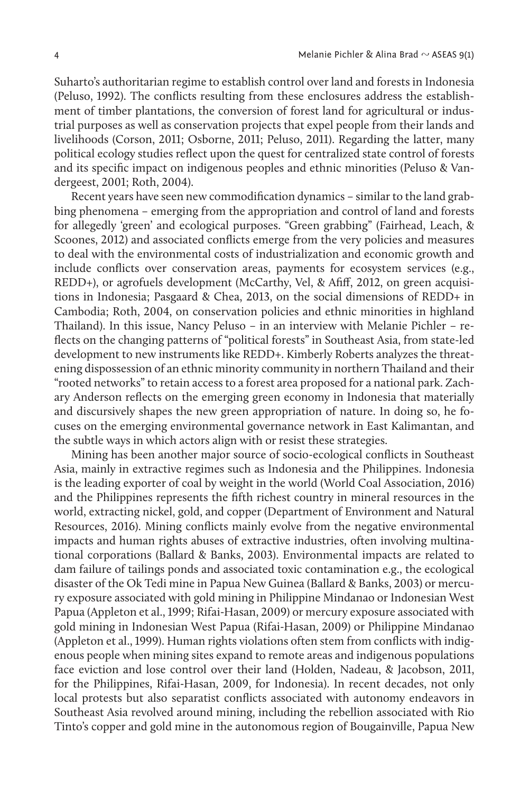Suharto's authoritarian regime to establish control over land and forests in Indonesia (Peluso, 1992). The conflicts resulting from these enclosures address the establishment of timber plantations, the conversion of forest land for agricultural or industrial purposes as well as conservation projects that expel people from their lands and livelihoods (Corson, 2011; Osborne, 2011; Peluso, 2011). Regarding the latter, many political ecology studies reflect upon the quest for centralized state control of forests and its specific impact on indigenous peoples and ethnic minorities (Peluso & Vandergeest, 2001; Roth, 2004).

Recent years have seen new commodification dynamics – similar to the land grabbing phenomena – emerging from the appropriation and control of land and forests for allegedly 'green' and ecological purposes. "Green grabbing" (Fairhead, Leach, & Scoones, 2012) and associated conflicts emerge from the very policies and measures to deal with the environmental costs of industrialization and economic growth and include conflicts over conservation areas, payments for ecosystem services (e.g., REDD+), or agrofuels development (McCarthy, Vel, & Afiff, 2012, on green acquisitions in Indonesia; Pasgaard & Chea, 2013, on the social dimensions of REDD+ in Cambodia; Roth, 2004, on conservation policies and ethnic minorities in highland Thailand). In this issue, Nancy Peluso – in an interview with Melanie Pichler – reflects on the changing patterns of "political forests" in Southeast Asia, from state-led development to new instruments like REDD+. Kimberly Roberts analyzes the threatening dispossession of an ethnic minority community in northern Thailand and their "rooted networks" to retain access to a forest area proposed for a national park. Zachary Anderson reflects on the emerging green economy in Indonesia that materially and discursively shapes the new green appropriation of nature. In doing so, he focuses on the emerging environmental governance network in East Kalimantan, and the subtle ways in which actors align with or resist these strategies.

Mining has been another major source of socio-ecological conflicts in Southeast Asia, mainly in extractive regimes such as Indonesia and the Philippines. Indonesia is the leading exporter of coal by weight in the world (World Coal Association, 2016) and the Philippines represents the fifth richest country in mineral resources in the world, extracting nickel, gold, and copper (Department of Environment and Natural Resources, 2016). Mining conflicts mainly evolve from the negative environmental impacts and human rights abuses of extractive industries, often involving multinational corporations (Ballard & Banks, 2003). Environmental impacts are related to dam failure of tailings ponds and associated toxic contamination e.g., the ecological disaster of the Ok Tedi mine in Papua New Guinea (Ballard & Banks, 2003) or mercury exposure associated with gold mining in Philippine Mindanao or Indonesian West Papua (Appleton et al., 1999; Rifai-Hasan, 2009) or mercury exposure associated with gold mining in Indonesian West Papua (Rifai-Hasan, 2009) or Philippine Mindanao (Appleton et al., 1999). Human rights violations often stem from conflicts with indigenous people when mining sites expand to remote areas and indigenous populations face eviction and lose control over their land (Holden, Nadeau, & Jacobson, 2011, for the Philippines, Rifai-Hasan, 2009, for Indonesia). In recent decades, not only local protests but also separatist conflicts associated with autonomy endeavors in Southeast Asia revolved around mining, including the rebellion associated with Rio Tinto's copper and gold mine in the autonomous region of Bougainville, Papua New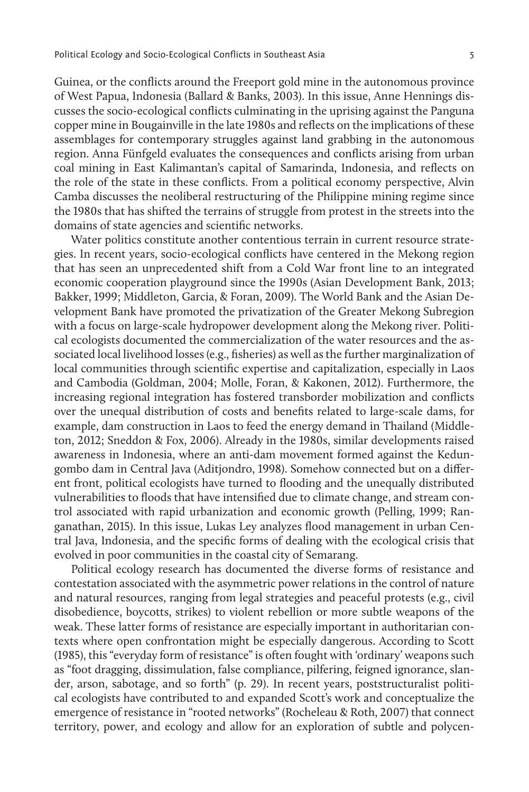Guinea, or the conflicts around the Freeport gold mine in the autonomous province of West Papua, Indonesia (Ballard & Banks, 2003). In this issue, Anne Hennings discusses the socio-ecological conflicts culminating in the uprising against the Panguna copper mine in Bougainville in the late 1980s and reflects on the implications of these assemblages for contemporary struggles against land grabbing in the autonomous region. Anna Fünfgeld evaluates the consequences and conflicts arising from urban coal mining in East Kalimantan's capital of Samarinda, Indonesia, and reflects on the role of the state in these conflicts. From a political economy perspective, Alvin Camba discusses the neoliberal restructuring of the Philippine mining regime since the 1980s that has shifted the terrains of struggle from protest in the streets into the domains of state agencies and scientific networks.

Water politics constitute another contentious terrain in current resource strategies. In recent years, socio-ecological conflicts have centered in the Mekong region that has seen an unprecedented shift from a Cold War front line to an integrated economic cooperation playground since the 1990s (Asian Development Bank, 2013; Bakker, 1999; Middleton, Garcia, & Foran, 2009). The World Bank and the Asian Development Bank have promoted the privatization of the Greater Mekong Subregion with a focus on large-scale hydropower development along the Mekong river. Political ecologists documented the commercialization of the water resources and the associated local livelihood losses (e.g., fisheries) as well as the further marginalization of local communities through scientific expertise and capitalization, especially in Laos and Cambodia (Goldman, 2004; Molle, Foran, & Kakonen, 2012). Furthermore, the increasing regional integration has fostered transborder mobilization and conflicts over the unequal distribution of costs and benefits related to large-scale dams, for example, dam construction in Laos to feed the energy demand in Thailand (Middleton, 2012; Sneddon & Fox, 2006). Already in the 1980s, similar developments raised awareness in Indonesia, where an anti-dam movement formed against the Kedungombo dam in Central Java (Aditjondro, 1998). Somehow connected but on a different front, political ecologists have turned to flooding and the unequally distributed vulnerabilities to floods that have intensified due to climate change, and stream control associated with rapid urbanization and economic growth (Pelling, 1999; Ranganathan, 2015). In this issue, Lukas Ley analyzes flood management in urban Central Java, Indonesia, and the specific forms of dealing with the ecological crisis that evolved in poor communities in the coastal city of Semarang.

Political ecology research has documented the diverse forms of resistance and contestation associated with the asymmetric power relations in the control of nature and natural resources, ranging from legal strategies and peaceful protests (e.g., civil disobedience, boycotts, strikes) to violent rebellion or more subtle weapons of the weak. These latter forms of resistance are especially important in authoritarian contexts where open confrontation might be especially dangerous. According to Scott (1985), this "everyday form of resistance" is often fought with 'ordinary' weapons such as "foot dragging, dissimulation, false compliance, pilfering, feigned ignorance, slander, arson, sabotage, and so forth" (p. 29). In recent years, poststructuralist political ecologists have contributed to and expanded Scott's work and conceptualize the emergence of resistance in "rooted networks" (Rocheleau & Roth, 2007) that connect territory, power, and ecology and allow for an exploration of subtle and polycen-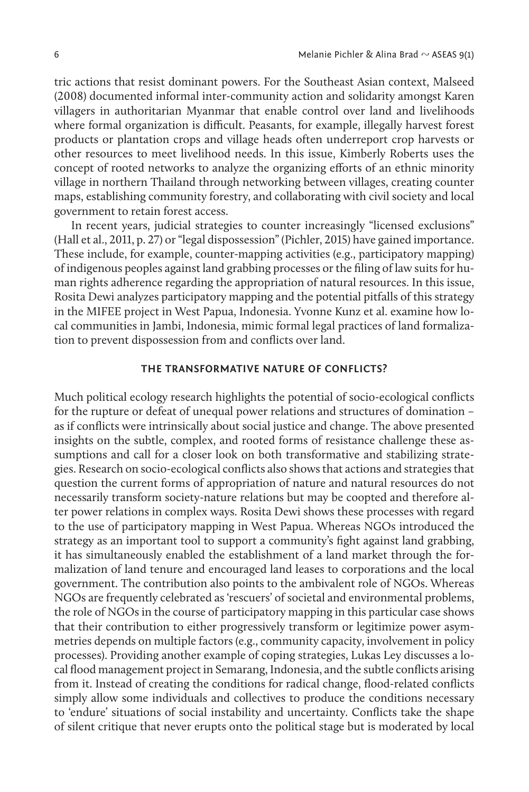tric actions that resist dominant powers. For the Southeast Asian context, Malseed (2008) documented informal inter-community action and solidarity amongst Karen villagers in authoritarian Myanmar that enable control over land and livelihoods where formal organization is difficult. Peasants, for example, illegally harvest forest products or plantation crops and village heads often underreport crop harvests or other resources to meet livelihood needs. In this issue, Kimberly Roberts uses the concept of rooted networks to analyze the organizing efforts of an ethnic minority village in northern Thailand through networking between villages, creating counter maps, establishing community forestry, and collaborating with civil society and local government to retain forest access.

In recent years, judicial strategies to counter increasingly "licensed exclusions" (Hall et al., 2011, p. 27) or "legal dispossession" (Pichler, 2015) have gained importance. These include, for example, counter-mapping activities (e.g., participatory mapping) of indigenous peoples against land grabbing processes or the filing of law suits for human rights adherence regarding the appropriation of natural resources. In this issue, Rosita Dewi analyzes participatory mapping and the potential pitfalls of this strategy in the MIFEE project in West Papua, Indonesia. Yvonne Kunz et al. examine how local communities in Jambi, Indonesia, mimic formal legal practices of land formalization to prevent dispossession from and conflicts over land.

## **THE TRANSFORMATIVE NATURE OF CONFLICTS?**

Much political ecology research highlights the potential of socio-ecological conflicts for the rupture or defeat of unequal power relations and structures of domination – as if conflicts were intrinsically about social justice and change. The above presented insights on the subtle, complex, and rooted forms of resistance challenge these assumptions and call for a closer look on both transformative and stabilizing strategies. Research on socio-ecological conflicts also shows that actions and strategies that question the current forms of appropriation of nature and natural resources do not necessarily transform society-nature relations but may be coopted and therefore alter power relations in complex ways. Rosita Dewi shows these processes with regard to the use of participatory mapping in West Papua. Whereas NGOs introduced the strategy as an important tool to support a community's fight against land grabbing, it has simultaneously enabled the establishment of a land market through the formalization of land tenure and encouraged land leases to corporations and the local government. The contribution also points to the ambivalent role of NGOs. Whereas NGOs are frequently celebrated as 'rescuers' of societal and environmental problems, the role of NGOs in the course of participatory mapping in this particular case shows that their contribution to either progressively transform or legitimize power asymmetries depends on multiple factors (e.g., community capacity, involvement in policy processes). Providing another example of coping strategies, Lukas Ley discusses a local flood management project in Semarang, Indonesia, and the subtle conflicts arising from it. Instead of creating the conditions for radical change, flood-related conflicts simply allow some individuals and collectives to produce the conditions necessary to 'endure' situations of social instability and uncertainty. Conflicts take the shape of silent critique that never erupts onto the political stage but is moderated by local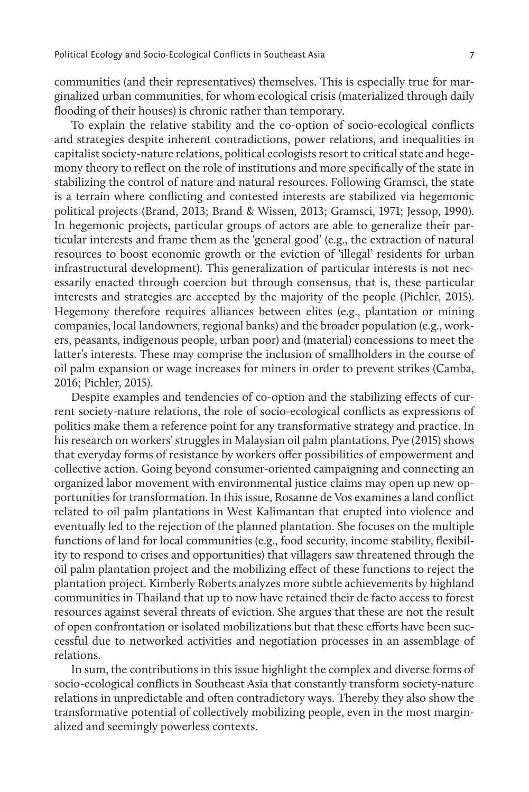communities (and their representatives) themselves. This is especially true for marginalized urban communities, for whom ecological crisis (materialized through daily flooding of their houses) is chronic rather than temporary.

To explain the relative stability and the co-option of socio-ecological conflicts and strategies despite inherent contradictions, power relations, and inequalities in capitalist society-nature relations, political ecologists resort to critical state and hegemony theory to reflect on the role of institutions and more specifically of the state in stabilizing the control of nature and natural resources. Following Gramsci, the state is a terrain where conflicting and contested interests are stabilized via hegemonic political projects (Brand, 2013; Brand & Wissen, 2013; Gramsci, 1971; Jessop, 1990). In hegemonic projects, particular groups of actors are able to generalize their particular interests and frame them as the 'general good' (e.g., the extraction of natural resources to boost economic growth or the eviction of 'illegal' residents for urban infrastructural development). This generalization of particular interests is not necessarily enacted through coercion but through consensus, that is, these particular interests and strategies are accepted by the majority of the people (Pichler, 2015). Hegemony therefore requires alliances between elites (e.g., plantation or mining companies, local landowners, regional banks) and the broader population (e.g., workers, peasants, indigenous people, urban poor) and (material) concessions to meet the latter's interests. These may comprise the inclusion of smallholders in the course of oil palm expansion or wage increases for miners in order to prevent strikes (Camba, 2016; Pichler, 2015).

Despite examples and tendencies of co-option and the stabilizing effects of current society-nature relations, the role of socio-ecological conflicts as expressions of politics make them a reference point for any transformative strategy and practice. In his research on workers' struggles in Malaysian oil palm plantations, Pye (2015) shows that everyday forms of resistance by workers offer possibilities of empowerment and collective action. Going beyond consumer-oriented campaigning and connecting an organized labor movement with environmental justice claims may open up new opportunities for transformation. In this issue, Rosanne de Vos examines a land conflict related to oil palm plantations in West Kalimantan that erupted into violence and eventually led to the rejection of the planned plantation. She focuses on the multiple functions of land for local communities (e.g., food security, income stability, flexibility to respond to crises and opportunities) that villagers saw threatened through the oil palm plantation project and the mobilizing effect of these functions to reject the plantation project. Kimberly Roberts analyzes more subtle achievements by highland communities in Thailand that up to now have retained their de facto access to forest resources against several threats of eviction. She argues that these are not the result of open confrontation or isolated mobilizations but that these efforts have been successful due to networked activities and negotiation processes in an assemblage of relations.

In sum, the contributions in this issue highlight the complex and diverse forms of socio-ecological conflicts in Southeast Asia that constantly transform society-nature relations in unpredictable and often contradictory ways. Thereby they also show the transformative potential of collectively mobilizing people, even in the most marginalized and seemingly powerless contexts.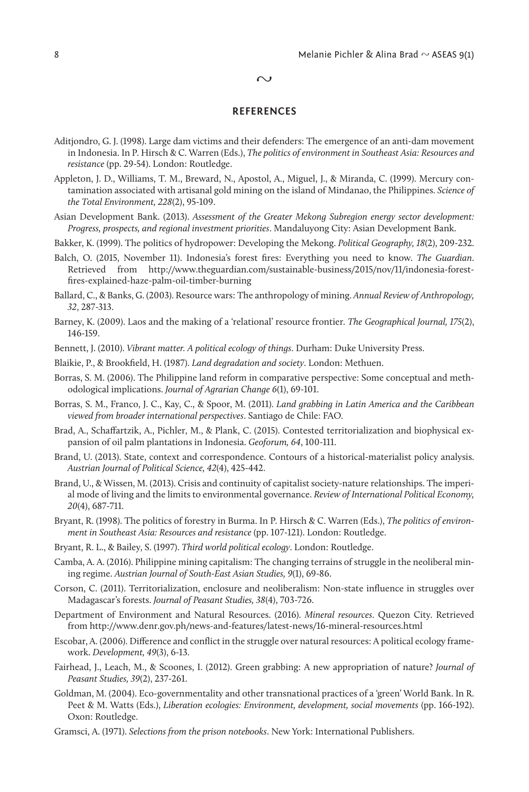#### $\sim$

### **REFERENCES**

- Aditjondro, G. J. (1998). Large dam victims and their defenders: The emergence of an anti-dam movement in Indonesia. In P. Hirsch & C. Warren (Eds.), *The politics of environment in Southeast Asia: Resources and resistance* (pp. 29-54). London: Routledge.
- Appleton, J. D., Williams, T. M., Breward, N., Apostol, A., Miguel, J., & Miranda, C. (1999). Mercury contamination associated with artisanal gold mining on the island of Mindanao, the Philippines. *Science of the Total Environment, 228*(2), 95-109.
- Asian Development Bank. (2013). *Assessment of the Greater Mekong Subregion energy sector development: Progress, prospects, and regional investment priorities*. Mandaluyong City: Asian Development Bank.
- Bakker, K. (1999). The politics of hydropower: Developing the Mekong. *Political Geography, 18*(2), 209-232.
- Balch, O. (2015, November 11). Indonesia's forest fires: Everything you need to know. *The Guardian*. Retrieved from http://www.theguardian.com/sustainable-business/2015/nov/11/indonesia-forestfires-explained-haze-palm-oil-timber-burning
- Ballard, C., & Banks, G. (2003). Resource wars: The anthropology of mining. *Annual Review of Anthropology, 32*, 287-313.
- Barney, K. (2009). Laos and the making of a 'relational' resource frontier. *The Geographical Journal, 175*(2), 146-159.
- Bennett, J. (2010). *Vibrant matter. A political ecology of things*. Durham: Duke University Press.
- Blaikie, P., & Brookfield, H. (1987). *Land degradation and society*. London: Methuen.
- Borras, S. M. (2006). The Philippine land reform in comparative perspective: Some conceptual and methodological implications. *Journal of Agrarian Change 6*(1), 69-101.
- Borras, S. M., Franco, J. C., Kay, C., & Spoor, M. (2011). *Land grabbing in Latin America and the Caribbean viewed from broader international perspectives*. Santiago de Chile: FAO.
- Brad, A., Schaffartzik, A., Pichler, M., & Plank, C. (2015). Contested territorialization and biophysical expansion of oil palm plantations in Indonesia. *Geoforum, 64*, 100-111.
- Brand, U. (2013). State, context and correspondence. Contours of a historical-materialist policy analysis. *Austrian Journal of Political Science, 42*(4), 425-442.
- Brand, U., & Wissen, M. (2013). Crisis and continuity of capitalist society-nature relationships. The imperial mode of living and the limits to environmental governance. *Review of International Political Economy, 20*(4), 687-711.
- Bryant, R. (1998). The politics of forestry in Burma. In P. Hirsch & C. Warren (Eds.), *The politics of environment in Southeast Asia: Resources and resistance* (pp. 107-121). London: Routledge.
- Bryant, R. L., & Bailey, S. (1997). *Third world political ecology*. London: Routledge.
- Camba, A. A. (2016). Philippine mining capitalism: The changing terrains of struggle in the neoliberal mining regime. *Austrian Journal of South-East Asian Studies, 9*(1), 69-86.
- Corson, C. (2011). Territorialization, enclosure and neoliberalism: Non-state influence in struggles over Madagascar's forests. *Journal of Peasant Studies, 38*(4), 703-726.
- Department of Environment and Natural Resources. (2016). *Mineral resources*. Quezon City. Retrieved from http://www.denr.gov.ph/news-and-features/latest-news/16-mineral-resources.html
- Escobar, A. (2006). Difference and conflict in the struggle over natural resources: A political ecology framework. *Development, 49*(3), 6-13.
- Fairhead, J., Leach, M., & Scoones, I. (2012). Green grabbing: A new appropriation of nature? *Journal of Peasant Studies, 39*(2), 237-261.
- Goldman, M. (2004). Eco-governmentality and other transnational practices of a 'green' World Bank. In R. Peet & M. Watts (Eds.), *Liberation ecologies: Environment, development, social movements* (pp. 166-192). Oxon: Routledge.
- Gramsci, A. (1971). *Selections from the prison notebooks*. New York: International Publishers.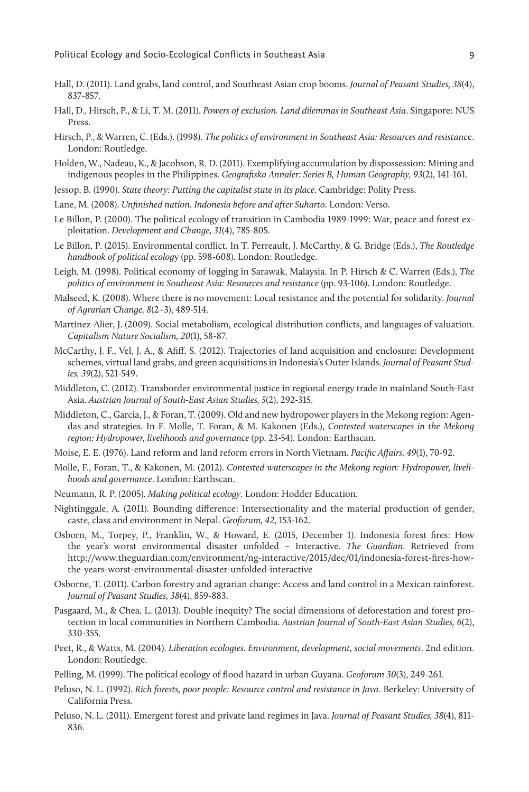- Hall, D. (2011). Land grabs, land control, and Southeast Asian crop booms. *Journal of Peasant Studies, 38*(4), 837-857.
- Hall, D., Hirsch, P., & Li, T. M. (2011). *Powers of exclusion. Land dilemmas in Southeast Asia*. Singapore: NUS Press.
- Hirsch, P., & Warren, C. (Eds.). (1998). *The politics of environment in Southeast Asia: Resources and resistanc*e. London: Routledge.
- Holden, W., Nadeau, K., & Jacobson, R. D. (2011). Exemplifying accumulation by dispossession: Mining and indigenous peoples in the Philippines. *Geografiska Annaler: Series B, Human Geography, 93*(2), 141-161.
- Jessop, B. (1990). *State theory: Putting the capitalist state in its place*. Cambridge: Polity Press.
- Lane, M. (2008). *Unfinished nation. Indonesia before and after Suharto*. London: Verso.
- Le Billon, P. (2000). The political ecology of transition in Cambodia 1989-1999: War, peace and forest exploitation. *Development and Change, 31*(4), 785-805.
- Le Billon, P. (2015). Environmental conflict. In T. Perreault, J. McCarthy, & G. Bridge (Eds.), *The Routledge handbook of political ecolog*y (pp. 598-608). London: Routledge.
- Leigh, M. (1998). Political economy of logging in Sarawak, Malaysia. In P. Hirsch & C. Warren (Eds.), *The politics of environment in Southeast Asia: Resources and resistance* (pp. 93-106). London: Routledge.
- Malseed, K. (2008). Where there is no movement: Local resistance and the potential for solidarity. *Journal of Agrarian Change, 8*(2–3), 489-514.
- Martinez-Alier, J. (2009). Social metabolism, ecological distribution conflicts, and languages of valuation. *Capitalism Nature Socialism, 20*(1), 58-87.
- McCarthy, J. F., Vel, J. A., & Afiff, S. (2012). Trajectories of land acquisition and enclosure: Development schemes, virtual land grabs, and green acquisitions in Indonesia's Outer Islands. *Journal of Peasant Studies, 39*(2), 521-549.
- Middleton, C. (2012). Transborder environmental justice in regional energy trade in mainland South-East Asia. *Austrian Journal of South-East Asian Studies, 5*(2), 292-315.
- Middleton, C., Garcia, J., & Foran, T. (2009). Old and new hydropower players in the Mekong region: Agendas and strategies. In F. Molle, T. Foran, & M. Kakonen (Eds.), *Contested waterscapes in the Mekong region: Hydropower, livelihoods and governance* (pp. 23-54). London: Earthscan.
- Moise, E. E. (1976). Land reform and land reform errors in North Vietnam. *Pacific Affairs, 49*(1), 70-92.
- Molle, F., Foran, T., & Kakonen, M. (2012). *Contested waterscapes in the Mekong region: Hydropower, livelihoods and governance*. London: Earthscan.
- Neumann, R. P. (2005). *Making political ecology*. London: Hodder Education.
- Nightinggale, A. (2011). Bounding difference: Intersectionality and the material production of gender, caste, class and environment in Nepal. *Geoforum, 42*, 153-162.
- Osborn, M., Torpey, P., Franklin, W., & Howard, E. (2015, December 1). Indonesia forest fires: How the year's worst environmental disaster unfolded – Interactive. *The Guardian*. Retrieved from http://www.theguardian.com/environment/ng-interactive/2015/dec/01/indonesia-forest-fires-howthe-years-worst-environmental-disaster-unfolded-interactive
- Osborne, T. (2011). Carbon forestry and agrarian change: Access and land control in a Mexican rainforest. *Journal of Peasant Studies, 38*(4), 859-883.
- Pasgaard, M., & Chea, L. (2013). Double inequity? The social dimensions of deforestation and forest protection in local communities in Northern Cambodia. *Austrian Journal of South-East Asian Studies, 6*(2), 330-355.
- Peet, R., & Watts, M. (2004). *Liberation ecologies. Environment, development, social movements*. 2nd edition. London: Routledge.
- Pelling, M. (1999). The political ecology of flood hazard in urban Guyana. *Geoforum 30*(3), 249-261.
- Peluso, N. L. (1992). *Rich forests, poor people: Resource control and resistance in Java*. Berkeley: University of California Press.
- Peluso, N. L. (2011). Emergent forest and private land regimes in Java. *Journal of Peasant Studies, 38*(4), 811- 836.